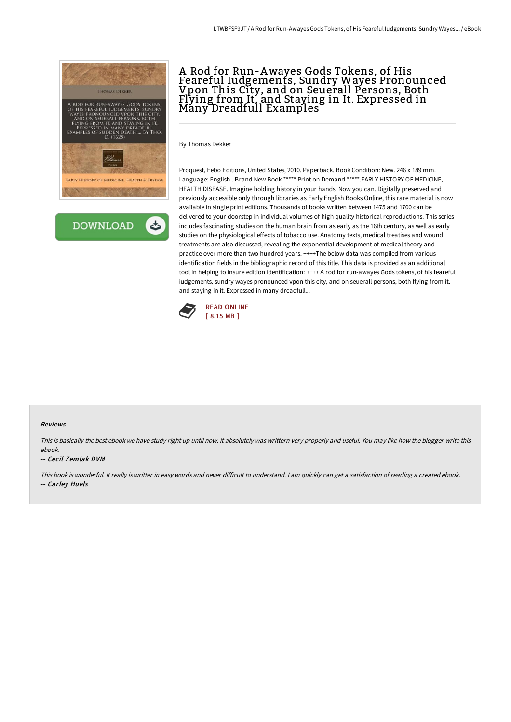



## A Rod for Run-Awayes Gods Tokens, of His Feareful Iudgements, Sundry Wayes Pronounced Vpon This City, and on Seuerall Persons, Both Flying from It, and Staying in It. Expressed in Many Dreadfull Examples

By Thomas Dekker

Proquest, Eebo Editions, United States, 2010. Paperback. Book Condition: New. 246 x 189 mm. Language: English . Brand New Book \*\*\*\*\* Print on Demand \*\*\*\*\*.EARLY HISTORY OF MEDICINE, HEALTH DISEASE. Imagine holding history in your hands. Now you can. Digitally preserved and previously accessible only through libraries as Early English Books Online, this rare material is now available in single print editions. Thousands of books written between 1475 and 1700 can be delivered to your doorstep in individual volumes of high quality historical reproductions. This series includes fascinating studies on the human brain from as early as the 16th century, as well as early studies on the physiological effects of tobacco use. Anatomy texts, medical treatises and wound treatments are also discussed, revealing the exponential development of medical theory and practice over more than two hundred years. ++++The below data was compiled from various identification fields in the bibliographic record of this title. This data is provided as an additional tool in helping to insure edition identification: ++++ A rod for run-awayes Gods tokens, of his feareful iudgements, sundry wayes pronounced vpon this city, and on seuerall persons, both flying from it, and staying in it. Expressed in many dreadfull...



#### Reviews

This is basically the best ebook we have study right up until now. it absolutely was writtern very properly and useful. You may like how the blogger write this ebook.

#### -- Cecil Zemlak DVM

This book is wonderful. It really is writter in easy words and never difficult to understand. <sup>I</sup> am quickly can get <sup>a</sup> satisfaction of reading <sup>a</sup> created ebook. -- Carley Huels